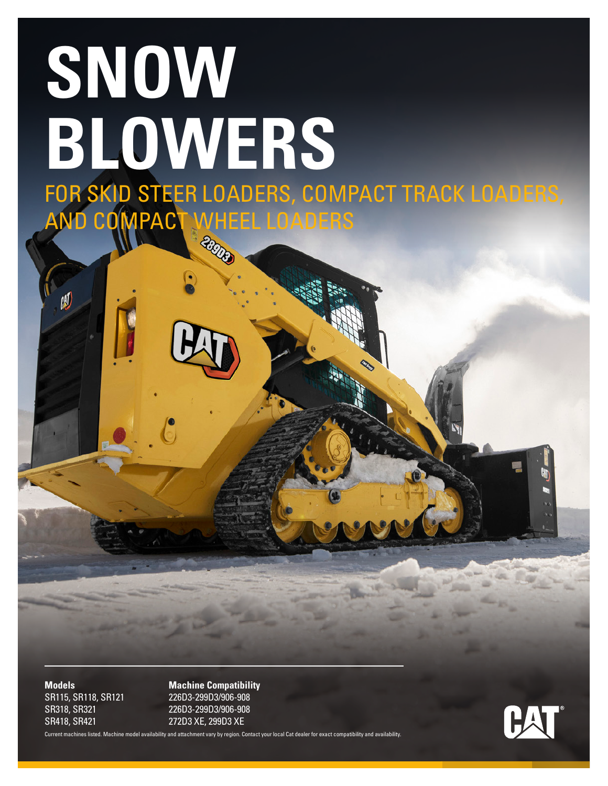# **SNOW BLOWERS** FOR SKID STEER LOADERS, COMPACT TRACK LOADERS, AND COMPACT WHEEL LOADERS

SR418, SR421 272D3 XE, 299D3 XE

胍

**Models Machine Compatibility** SR115, SR118, SR121 226D3-299D3/906-908 SR318, SR321 226D3-299D3/906-908

Current machines listed. Machine model availability and attachment vary by region. Contact your local Cat dealer for exact compatibility and availability.

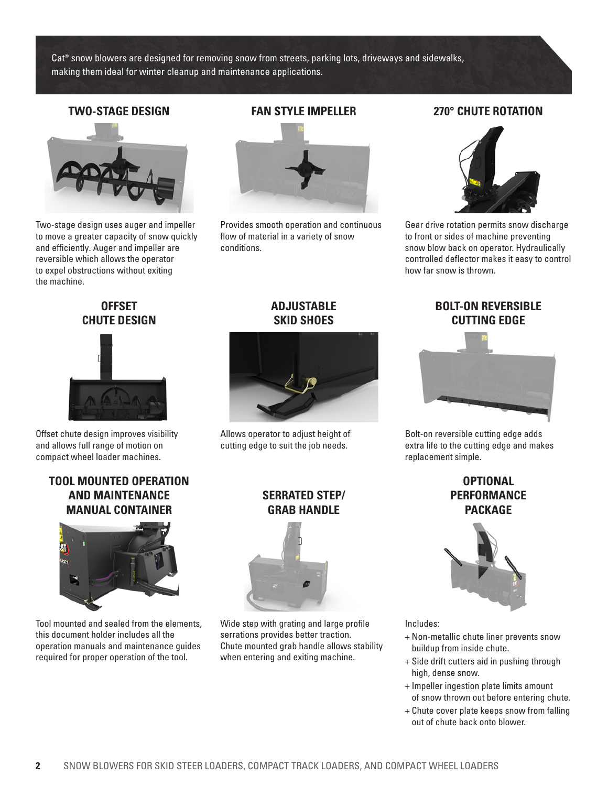Cat® snow blowers are designed for removing snow from streets, parking lots, driveways and sidewalks, making them ideal for winter cleanup and maintenance applications.



Two-stage design uses auger and impeller to move a greater capacity of snow quickly and efficiently. Auger and impeller are reversible which allows the operator to expel obstructions without exiting the machine.



Provides smooth operation and continuous flow of material in a variety of snow conditions.

#### **TWO-STAGE DESIGN FAN STYLE IMPELLER 270° CHUTE ROTATION**



Gear drive rotation permits snow discharge to front or sides of machine preventing snow blow back on operator. Hydraulically controlled deflector makes it easy to control how far snow is thrown.

#### **OFFSET CHUTE DESIGN**



Offset chute design improves visibility and allows full range of motion on compact wheel loader machines.

#### **TOOL MOUNTED OPERATION AND MAINTENANCE MANUAL CONTAINER**



Tool mounted and sealed from the elements, this document holder includes all the operation manuals and maintenance guides required for proper operation of the tool.

#### **ADJUSTABLE SKID SHOES**



Allows operator to adjust height of cutting edge to suit the job needs.

#### **SERRATED STEP/ GRAB HANDLE**



Wide step with grating and large profile serrations provides better traction. Chute mounted grab handle allows stability when entering and exiting machine.

## **BOLT-ON REVERSIBLE CUTTING EDGE**



Bolt-on reversible cutting edge adds extra life to the cutting edge and makes replacement simple.

> **OPTIONAL PERFORMANCE PACKAGE**



Includes:

- + Non-metallic chute liner prevents snow buildup from inside chute.
- + Side drift cutters aid in pushing through high, dense snow.
- + Impeller ingestion plate limits amount of snow thrown out before entering chute.
- + Chute cover plate keeps snow from falling out of chute back onto blower.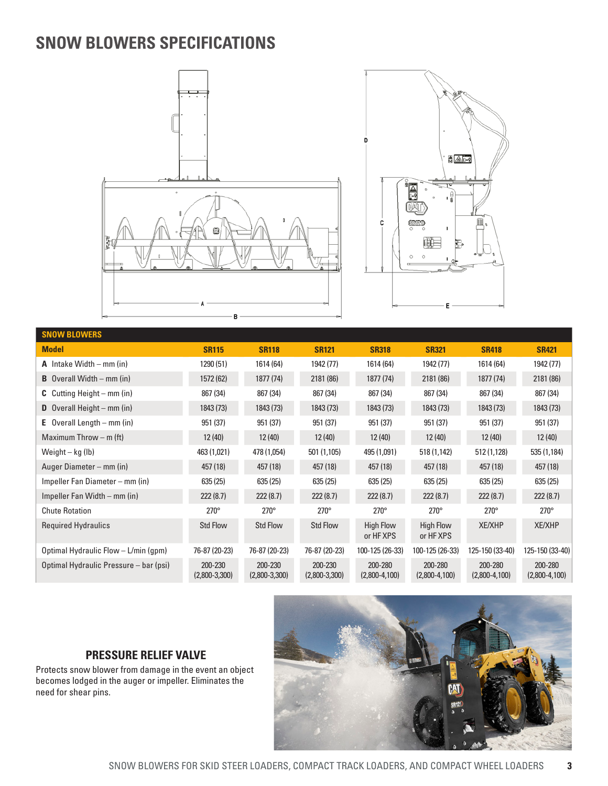# **SNOW BLOWERS SPECIFICATIONS**





| <b>SNOW BLOWERS</b>                    |                            |                            |                            |                               |                               |                            |                            |
|----------------------------------------|----------------------------|----------------------------|----------------------------|-------------------------------|-------------------------------|----------------------------|----------------------------|
| <b>Model</b>                           | <b>SR115</b>               | <b>SR118</b>               | <b>SR121</b>               | <b>SR318</b>                  | <b>SR321</b>                  | <b>SR418</b>               | <b>SR421</b>               |
| <b>A</b> Intake Width – mm (in)        | 1290 (51)                  | 1614 (64)                  | 1942 (77)                  | 1614 (64)                     | 1942 (77)                     | 1614 (64)                  | 1942 (77)                  |
| <b>B</b> Overall Width $-$ mm (in)     | 1572 (62)                  | 1877 (74)                  | 2181 (86)                  | 1877 (74)                     | 2181 (86)                     | 1877 (74)                  | 2181 (86)                  |
| <b>C</b> Cutting Height – mm (in)      | 867 (34)                   | 867 (34)                   | 867 (34)                   | 867 (34)                      | 867 (34)                      | 867 (34)                   | 867 (34)                   |
| <b>D</b> Overall Height – $mm$ (in)    | 1843 (73)                  | 1843 (73)                  | 1843 (73)                  | 1843 (73)                     | 1843 (73)                     | 1843 (73)                  | 1843 (73)                  |
| <b>E</b> Overall Length $-$ mm (in)    | 951 (37)                   | 951 (37)                   | 951 (37)                   | 951 (37)                      | 951 (37)                      | 951 (37)                   | 951 (37)                   |
| Maximum Throw $-$ m (ft)               | 12(40)                     | 12(40)                     | 12(40)                     | 12(40)                        | 12(40)                        | 12(40)                     | 12(40)                     |
| Weight – kg (lb)                       | 463 (1,021)                | 478 (1,054)                | 501 (1,105)                | 495 (1,091)                   | 518 (1,142)                   | 512 (1,128)                | 535 (1,184)                |
| Auger Diameter - mm (in)               | 457 (18)                   | 457 (18)                   | 457 (18)                   | 457 (18)                      | 457 (18)                      | 457 (18)                   | 457 (18)                   |
| Impeller Fan Diameter – mm (in)        | 635 (25)                   | 635 (25)                   | 635 (25)                   | 635(25)                       | 635(25)                       | 635 (25)                   | 635 (25)                   |
| Impeller Fan Width – mm (in)           | 222(8.7)                   | 222(8.7)                   | 222(8.7)                   | 222(8.7)                      | 222(8.7)                      | 222(8.7)                   | 222(8.7)                   |
| <b>Chute Rotation</b>                  | $270^\circ$                | $270^\circ$                | $270^\circ$                | $270^\circ$                   | $270^\circ$                   | $270^\circ$                | $270^\circ$                |
| <b>Required Hydraulics</b>             | <b>Std Flow</b>            | <b>Std Flow</b>            | <b>Std Flow</b>            | <b>High Flow</b><br>or HF XPS | <b>High Flow</b><br>or HF XPS | <b>XE/XHP</b>              | <b>XE/XHP</b>              |
| Optimal Hydraulic Flow - L/min (gpm)   | 76-87 (20-23)              | 76-87 (20-23)              | 76-87 (20-23)              | 100-125 (26-33)               | 100-125 (26-33)               | 125-150 (33-40)            | 125-150 (33-40)            |
| Optimal Hydraulic Pressure – bar (psi) | 200-230<br>$(2,800-3,300)$ | 200-230<br>$(2,800-3,300)$ | 200-230<br>$(2,800-3,300)$ | 200-280<br>$(2,800-4,100)$    | 200-280<br>$(2,800-4,100)$    | 200-280<br>$(2,800-4,100)$ | 200-280<br>$(2,800-4,100)$ |

## **PRESSURE RELIEF VALVE**

Protects snow blower from damage in the event an object becomes lodged in the auger or impeller. Eliminates the need for shear pins.